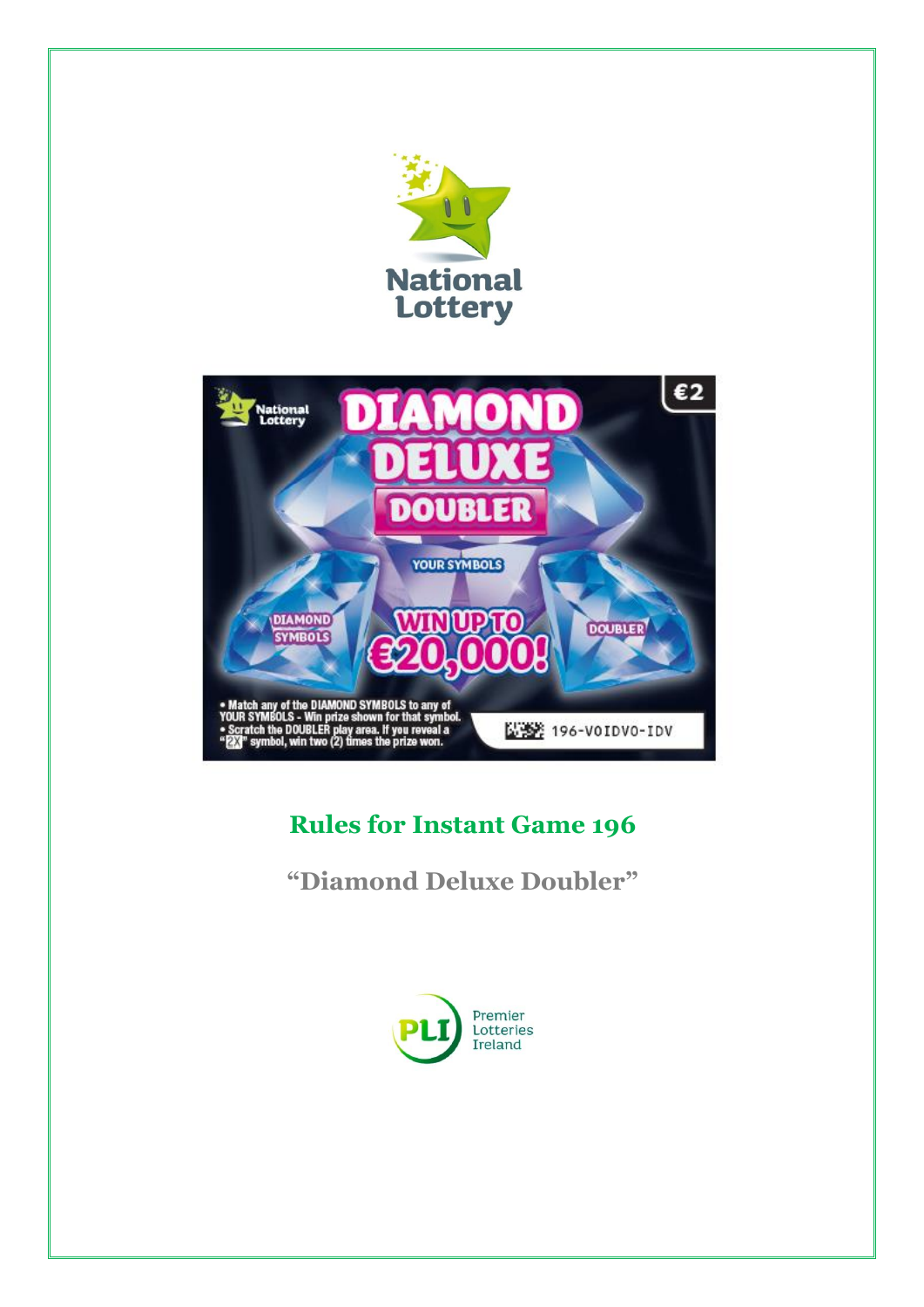

# **Rules for Instant Game 196**

**"Diamond Deluxe Doubler"** 

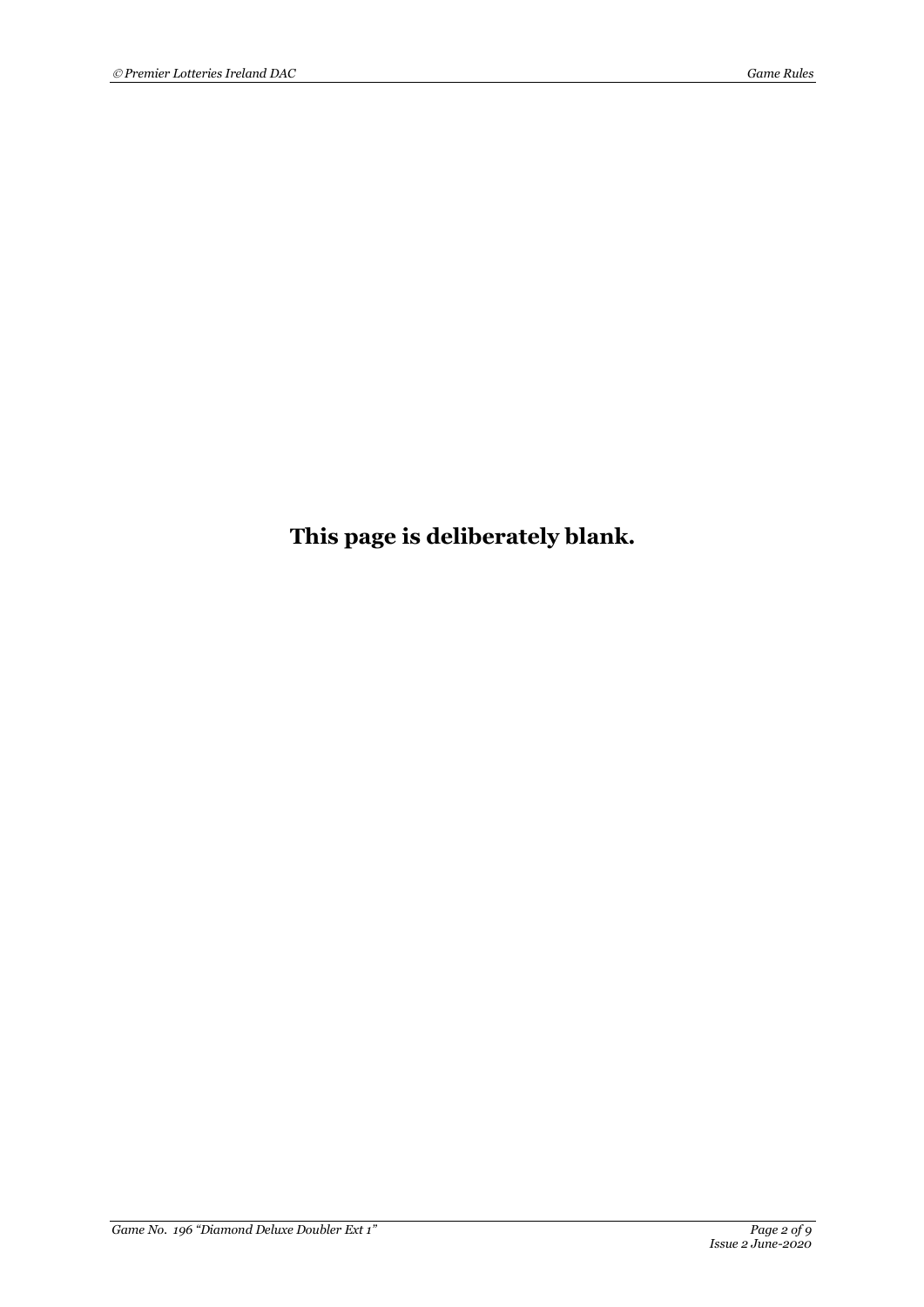# **This page is deliberately blank.**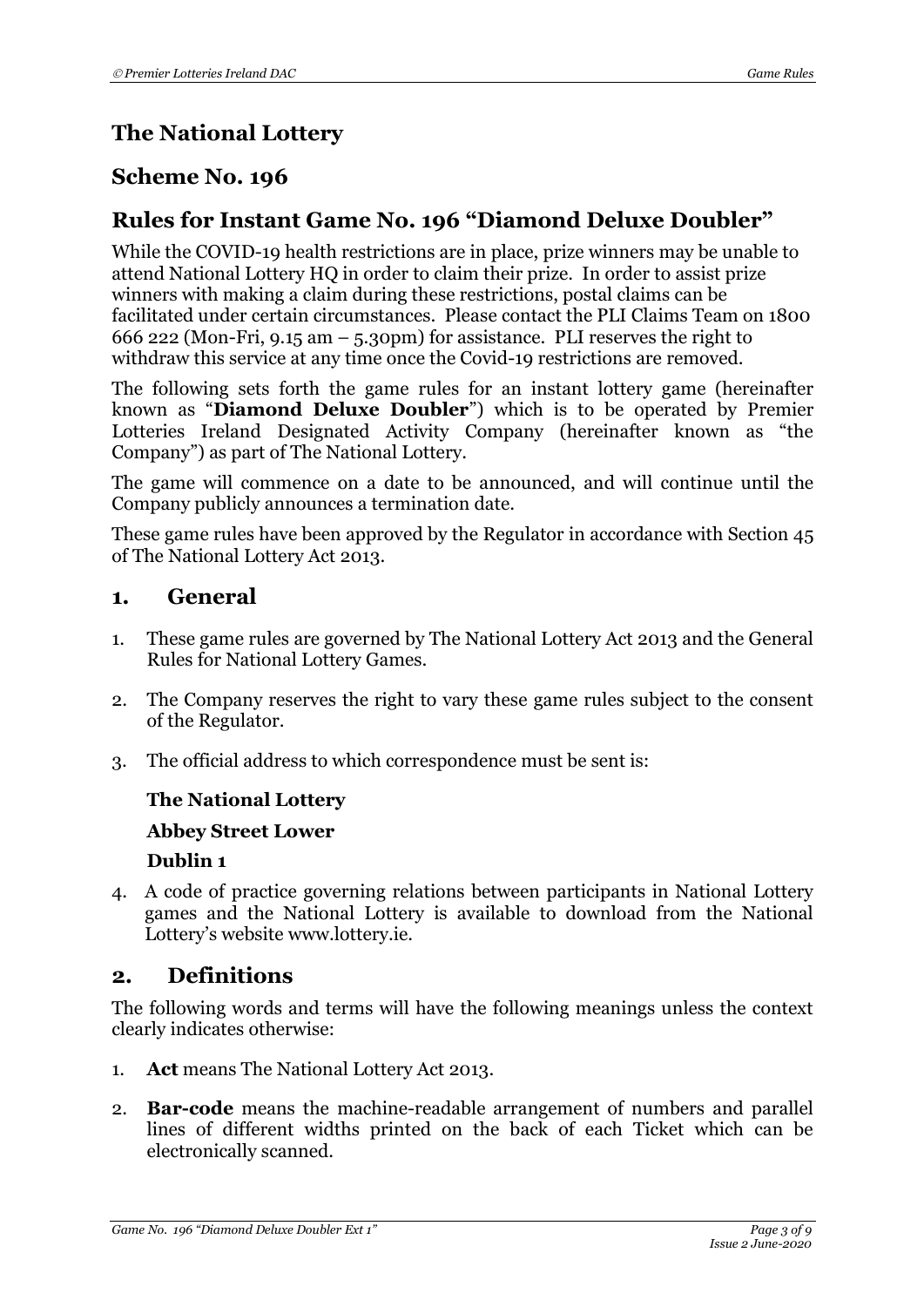# **The National Lottery**

#### **Scheme No. 196**

#### **Rules for Instant Game No. 196 "Diamond Deluxe Doubler"**

While the COVID-19 health restrictions are in place, prize winners may be unable to attend National Lottery HQ in order to claim their prize. In order to assist prize winners with making a claim during these restrictions, postal claims can be facilitated under certain circumstances. Please contact the PLI Claims Team on 1800 666 222 (Mon-Fri, 9.15 am  $-$  5.30pm) for assistance. PLI reserves the right to withdraw this service at any time once the Covid-19 restrictions are removed.

The following sets forth the game rules for an instant lottery game (hereinafter known as "**Diamond Deluxe Doubler**") which is to be operated by Premier Lotteries Ireland Designated Activity Company (hereinafter known as "the Company") as part of The National Lottery.

The game will commence on a date to be announced, and will continue until the Company publicly announces a termination date.

These game rules have been approved by the Regulator in accordance with Section 45 of The National Lottery Act 2013.

#### **1. General**

- 1. These game rules are governed by The National Lottery Act 2013 and the General Rules for National Lottery Games.
- 2. The Company reserves the right to vary these game rules subject to the consent of the Regulator.
- 3. The official address to which correspondence must be sent is:

#### **The National Lottery**

#### **Abbey Street Lower**

#### **Dublin 1**

4. A code of practice governing relations between participants in National Lottery games and the National Lottery is available to download from the National Lottery's website [www.lottery.ie.](http://www.lottery.ie/)

#### **2. Definitions**

The following words and terms will have the following meanings unless the context clearly indicates otherwise:

- 1. **Act** means The National Lottery Act 2013.
- 2. **Bar-code** means the machine-readable arrangement of numbers and parallel lines of different widths printed on the back of each Ticket which can be electronically scanned.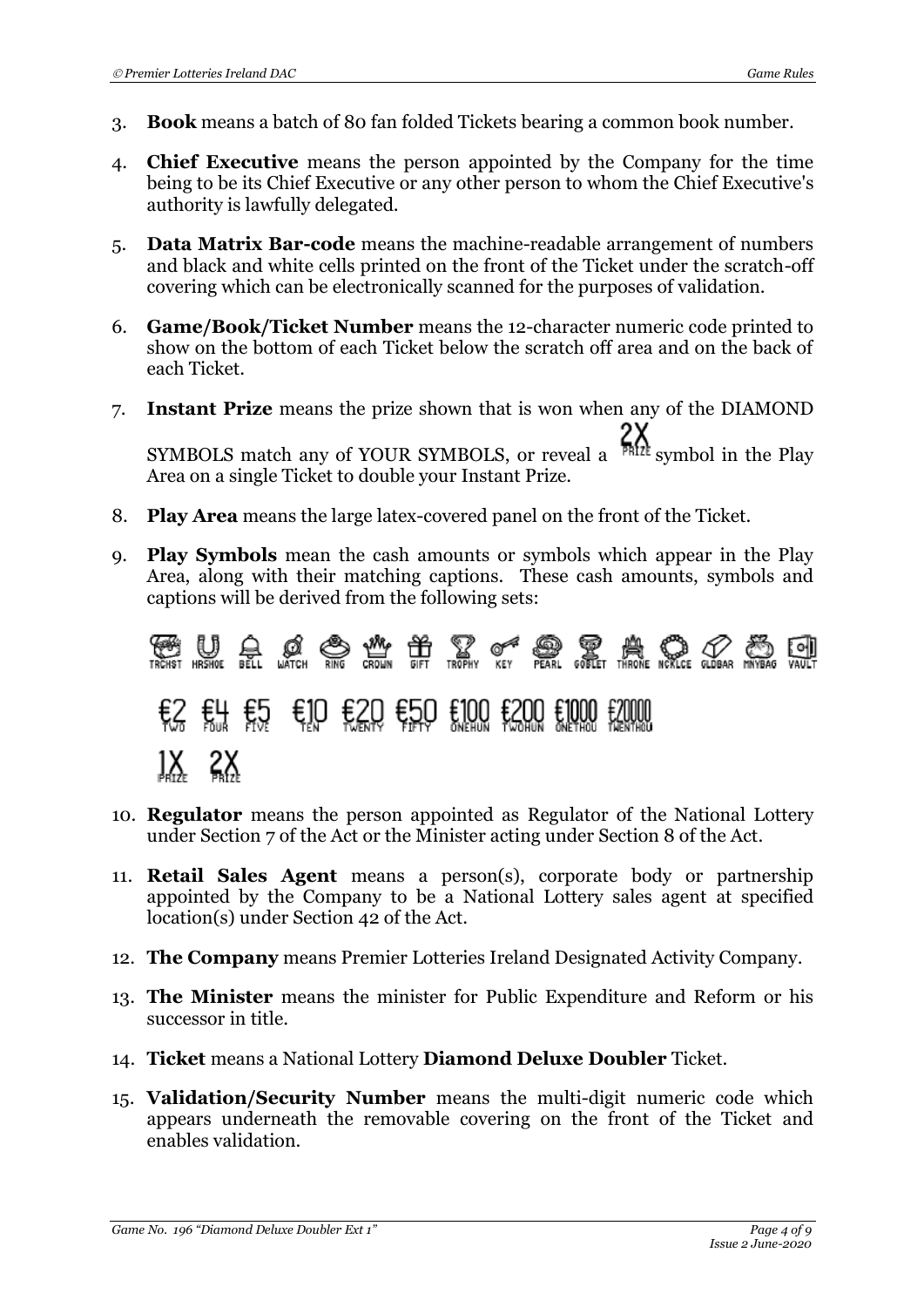- 3. **Book** means a batch of 80 fan folded Tickets bearing a common book number.
- 4. **Chief Executive** means the person appointed by the Company for the time being to be its Chief Executive or any other person to whom the Chief Executive's authority is lawfully delegated.
- 5. **Data Matrix Bar-code** means the machine-readable arrangement of numbers and black and white cells printed on the front of the Ticket under the scratch-off covering which can be electronically scanned for the purposes of validation.
- 6. **Game/Book/Ticket Number** means the 12-character numeric code printed to show on the bottom of each Ticket below the scratch off area and on the back of each Ticket.
- 7. **Instant Prize** means the prize shown that is won when any of the DIAMOND

SYMBOLS match any of YOUR SYMBOLS, or reveal a  $\frac{2X}{P^{\text{MLE}}}$  symbol in the Play Area on a single Ticket to double your Instant Prize.

- 8. **Play Area** means the large latex-covered panel on the front of the Ticket.
- 9. **Play Symbols** mean the cash amounts or symbols which appear in the Play Area, along with their matching captions. These cash amounts, symbols and captions will be derived from the following sets:



- 10. **Regulator** means the person appointed as Regulator of the National Lottery under Section 7 of the Act or the Minister acting under Section 8 of the Act.
- 11. **Retail Sales Agent** means a person(s), corporate body or partnership appointed by the Company to be a National Lottery sales agent at specified location(s) under Section 42 of the Act.
- 12. **The Company** means Premier Lotteries Ireland Designated Activity Company.
- 13. **The Minister** means the minister for Public Expenditure and Reform or his successor in title.
- 14. **Ticket** means a National Lottery **Diamond Deluxe Doubler** Ticket.
- 15. **Validation/Security Number** means the multi-digit numeric code which appears underneath the removable covering on the front of the Ticket and enables validation.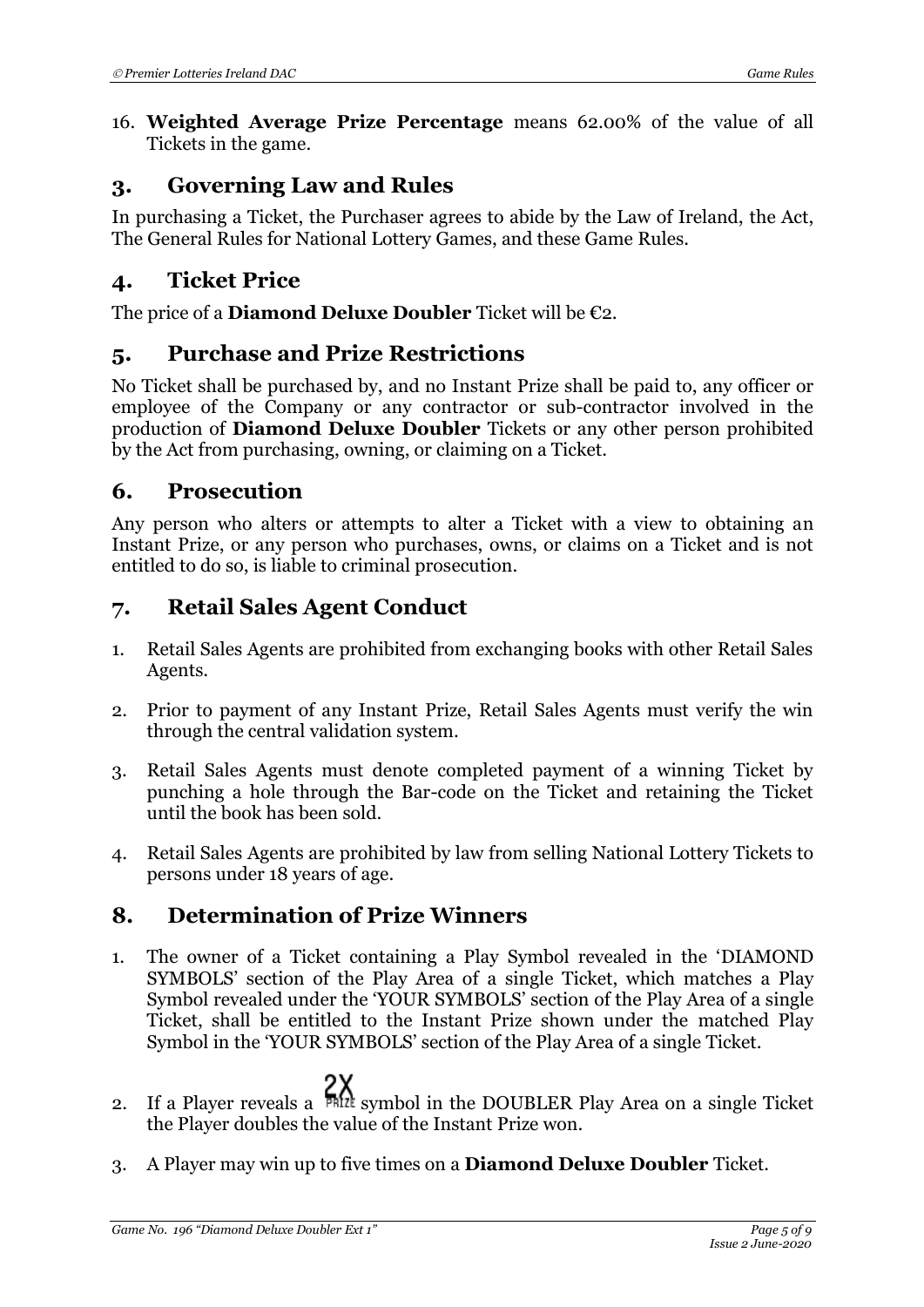16. **Weighted Average Prize Percentage** means 62.00% of the value of all Tickets in the game.

### **3. Governing Law and Rules**

In purchasing a Ticket, the Purchaser agrees to abide by the Law of Ireland, the Act, The General Rules for National Lottery Games, and these Game Rules.

### **4. Ticket Price**

The price of a **Diamond Deluxe Doubler** Ticket will be €2.

#### **5. Purchase and Prize Restrictions**

No Ticket shall be purchased by, and no Instant Prize shall be paid to, any officer or employee of the Company or any contractor or sub-contractor involved in the production of **Diamond Deluxe Doubler** Tickets or any other person prohibited by the Act from purchasing, owning, or claiming on a Ticket.

#### **6. Prosecution**

Any person who alters or attempts to alter a Ticket with a view to obtaining an Instant Prize, or any person who purchases, owns, or claims on a Ticket and is not entitled to do so, is liable to criminal prosecution.

# **7. Retail Sales Agent Conduct**

- 1. Retail Sales Agents are prohibited from exchanging books with other Retail Sales Agents.
- 2. Prior to payment of any Instant Prize, Retail Sales Agents must verify the win through the central validation system.
- 3. Retail Sales Agents must denote completed payment of a winning Ticket by punching a hole through the Bar-code on the Ticket and retaining the Ticket until the book has been sold.
- 4. Retail Sales Agents are prohibited by law from selling National Lottery Tickets to persons under 18 years of age.

#### **8. Determination of Prize Winners**

1. The owner of a Ticket containing a Play Symbol revealed in the 'DIAMOND SYMBOLS' section of the Play Area of a single Ticket, which matches a Play Symbol revealed under the 'YOUR SYMBOLS' section of the Play Area of a single Ticket, shall be entitled to the Instant Prize shown under the matched Play Symbol in the 'YOUR SYMBOLS' section of the Play Area of a single Ticket.

- 2. If a Player reveals a  $\widehat{\mathbb{R}}$  symbol in the DOUBLER Play Area on a single Ticket the Player doubles the value of the Instant Prize won.
- 3. A Player may win up to five times on a **Diamond Deluxe Doubler** Ticket.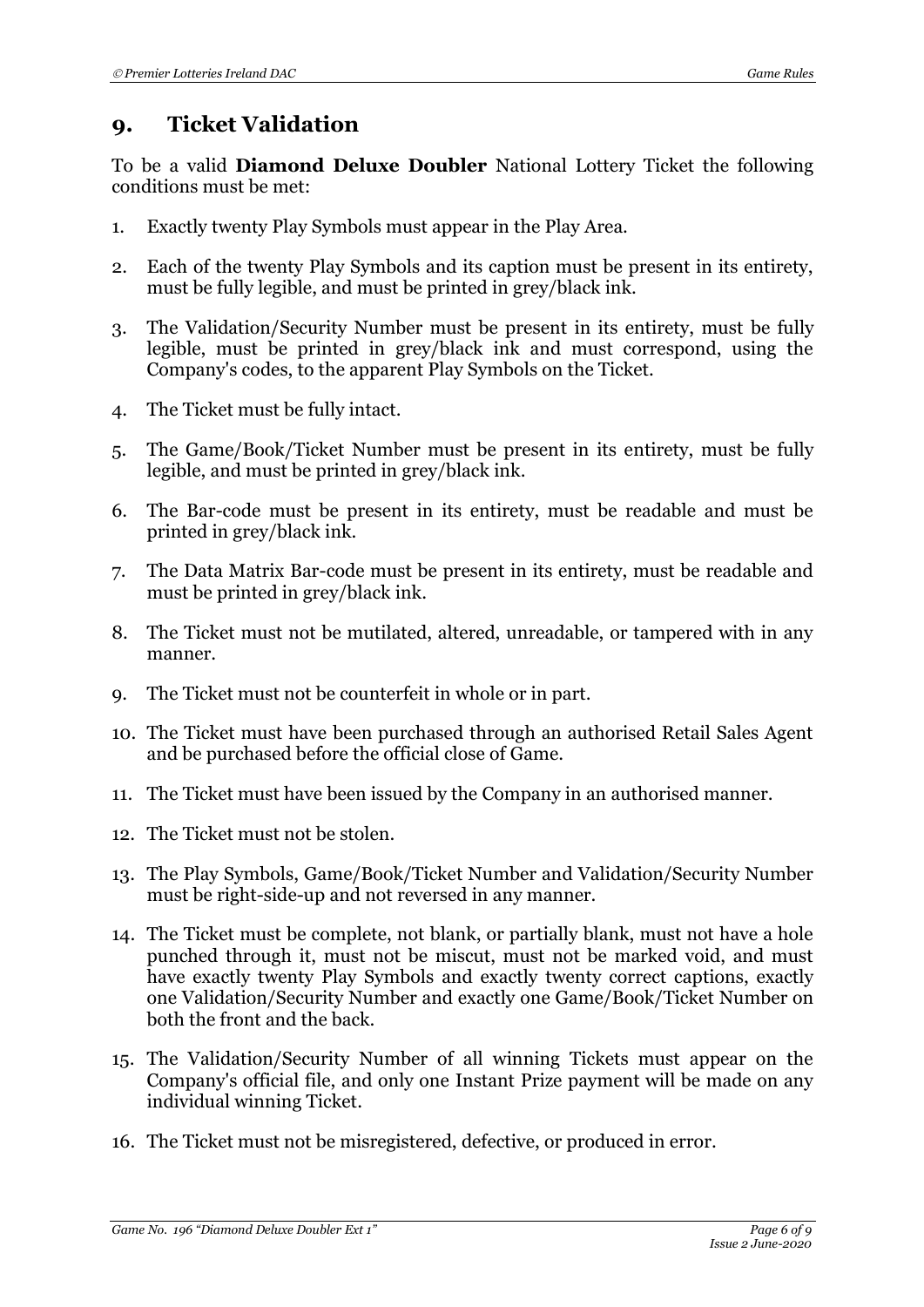#### **9. Ticket Validation**

To be a valid **Diamond Deluxe Doubler** National Lottery Ticket the following conditions must be met:

- 1. Exactly twenty Play Symbols must appear in the Play Area.
- 2. Each of the twenty Play Symbols and its caption must be present in its entirety, must be fully legible, and must be printed in grey/black ink.
- 3. The Validation/Security Number must be present in its entirety, must be fully legible, must be printed in grey/black ink and must correspond, using the Company's codes, to the apparent Play Symbols on the Ticket.
- 4. The Ticket must be fully intact.
- 5. The Game/Book/Ticket Number must be present in its entirety, must be fully legible, and must be printed in grey/black ink.
- 6. The Bar-code must be present in its entirety, must be readable and must be printed in grey/black ink.
- 7. The Data Matrix Bar-code must be present in its entirety, must be readable and must be printed in grey/black ink.
- 8. The Ticket must not be mutilated, altered, unreadable, or tampered with in any manner.
- 9. The Ticket must not be counterfeit in whole or in part.
- 10. The Ticket must have been purchased through an authorised Retail Sales Agent and be purchased before the official close of Game.
- 11. The Ticket must have been issued by the Company in an authorised manner.
- 12. The Ticket must not be stolen.
- 13. The Play Symbols, Game/Book/Ticket Number and Validation/Security Number must be right-side-up and not reversed in any manner.
- 14. The Ticket must be complete, not blank, or partially blank, must not have a hole punched through it, must not be miscut, must not be marked void, and must have exactly twenty Play Symbols and exactly twenty correct captions, exactly one Validation/Security Number and exactly one Game/Book/Ticket Number on both the front and the back.
- 15. The Validation/Security Number of all winning Tickets must appear on the Company's official file, and only one Instant Prize payment will be made on any individual winning Ticket.
- 16. The Ticket must not be misregistered, defective, or produced in error.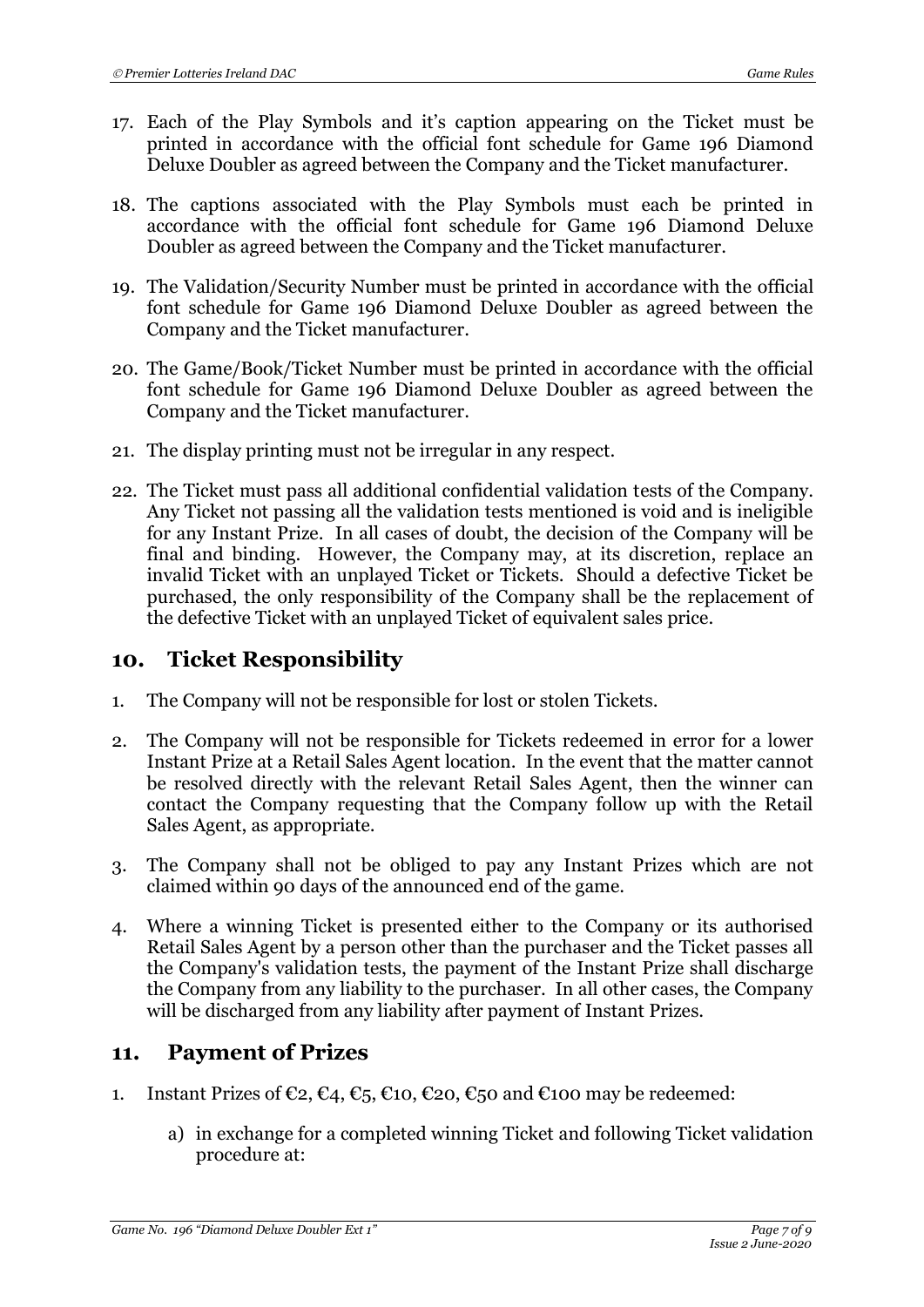- 17. Each of the Play Symbols and it's caption appearing on the Ticket must be printed in accordance with the official font schedule for Game 196 Diamond Deluxe Doubler as agreed between the Company and the Ticket manufacturer.
- 18. The captions associated with the Play Symbols must each be printed in accordance with the official font schedule for Game 196 Diamond Deluxe Doubler as agreed between the Company and the Ticket manufacturer.
- 19. The Validation/Security Number must be printed in accordance with the official font schedule for Game 196 Diamond Deluxe Doubler as agreed between the Company and the Ticket manufacturer.
- 20. The Game/Book/Ticket Number must be printed in accordance with the official font schedule for Game 196 Diamond Deluxe Doubler as agreed between the Company and the Ticket manufacturer.
- 21. The display printing must not be irregular in any respect.
- 22. The Ticket must pass all additional confidential validation tests of the Company. Any Ticket not passing all the validation tests mentioned is void and is ineligible for any Instant Prize. In all cases of doubt, the decision of the Company will be final and binding. However, the Company may, at its discretion, replace an invalid Ticket with an unplayed Ticket or Tickets. Should a defective Ticket be purchased, the only responsibility of the Company shall be the replacement of the defective Ticket with an unplayed Ticket of equivalent sales price.

#### **10. Ticket Responsibility**

- 1. The Company will not be responsible for lost or stolen Tickets.
- 2. The Company will not be responsible for Tickets redeemed in error for a lower Instant Prize at a Retail Sales Agent location. In the event that the matter cannot be resolved directly with the relevant Retail Sales Agent, then the winner can contact the Company requesting that the Company follow up with the Retail Sales Agent, as appropriate.
- 3. The Company shall not be obliged to pay any Instant Prizes which are not claimed within 90 days of the announced end of the game.
- 4. Where a winning Ticket is presented either to the Company or its authorised Retail Sales Agent by a person other than the purchaser and the Ticket passes all the Company's validation tests, the payment of the Instant Prize shall discharge the Company from any liability to the purchaser. In all other cases, the Company will be discharged from any liability after payment of Instant Prizes.

#### **11. Payment of Prizes**

- 1. Instant Prizes of  $\epsilon_2$ ,  $\epsilon_4$ ,  $\epsilon_5$ ,  $\epsilon_1$ ,  $\epsilon_2$ ,  $\epsilon_5$ ,  $\epsilon_1$ ,  $\epsilon_2$ ,  $\epsilon_5$ , and  $\epsilon_1$  and  $\epsilon_2$  may be redeemed:
	- a) in exchange for a completed winning Ticket and following Ticket validation procedure at: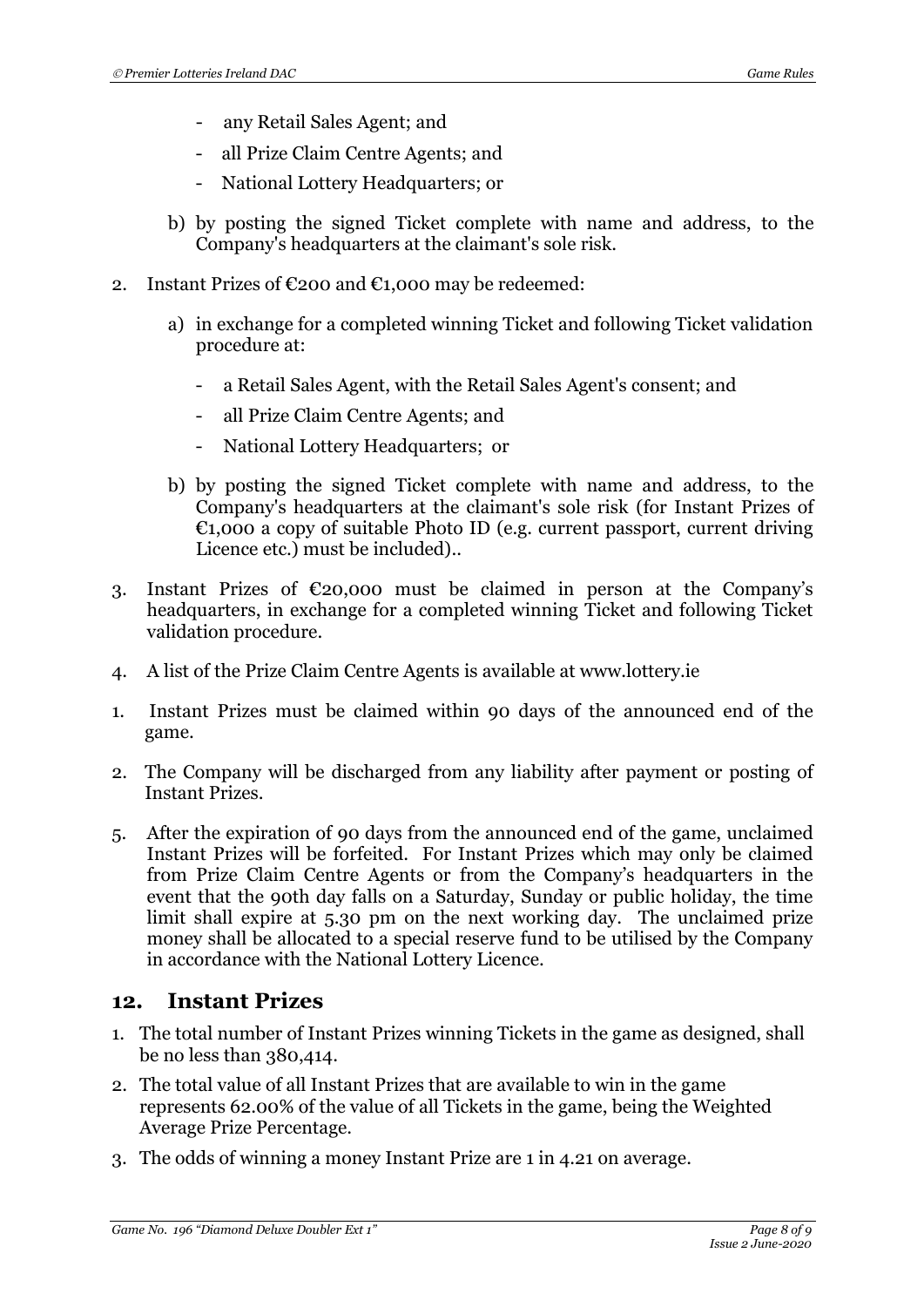- any Retail Sales Agent; and
- all Prize Claim Centre Agents; and
- National Lottery Headquarters; or
- b) by posting the signed Ticket complete with name and address, to the Company's headquarters at the claimant's sole risk.
- 2. Instant Prizes of  $\epsilon$ 200 and  $\epsilon$ 1,000 may be redeemed:
	- a) in exchange for a completed winning Ticket and following Ticket validation procedure at:
		- a Retail Sales Agent, with the Retail Sales Agent's consent; and
		- all Prize Claim Centre Agents; and
		- National Lottery Headquarters; or
	- b) by posting the signed Ticket complete with name and address, to the Company's headquarters at the claimant's sole risk (for Instant Prizes of  $\epsilon$ 1,000 a copy of suitable Photo ID (e.g. current passport, current driving Licence etc.) must be included)..
- 3. Instant Prizes of  $\epsilon$ 20,000 must be claimed in person at the Company's headquarters, in exchange for a completed winning Ticket and following Ticket validation procedure.
- 4. A list of the Prize Claim Centre Agents is available at www.lottery.ie
- 1. Instant Prizes must be claimed within 90 days of the announced end of the game.
- 2. The Company will be discharged from any liability after payment or posting of Instant Prizes.
- 5. After the expiration of 90 days from the announced end of the game, unclaimed Instant Prizes will be forfeited. For Instant Prizes which may only be claimed from Prize Claim Centre Agents or from the Company's headquarters in the event that the 90th day falls on a Saturday, Sunday or public holiday, the time limit shall expire at 5.30 pm on the next working day. The unclaimed prize money shall be allocated to a special reserve fund to be utilised by the Company in accordance with the National Lottery Licence.

#### **12. Instant Prizes**

- 1. The total number of Instant Prizes winning Tickets in the game as designed, shall be no less than 380,414.
- 2. The total value of all Instant Prizes that are available to win in the game represents 62.00% of the value of all Tickets in the game, being the Weighted Average Prize Percentage.
- 3. The odds of winning a money Instant Prize are 1 in 4.21 on average.